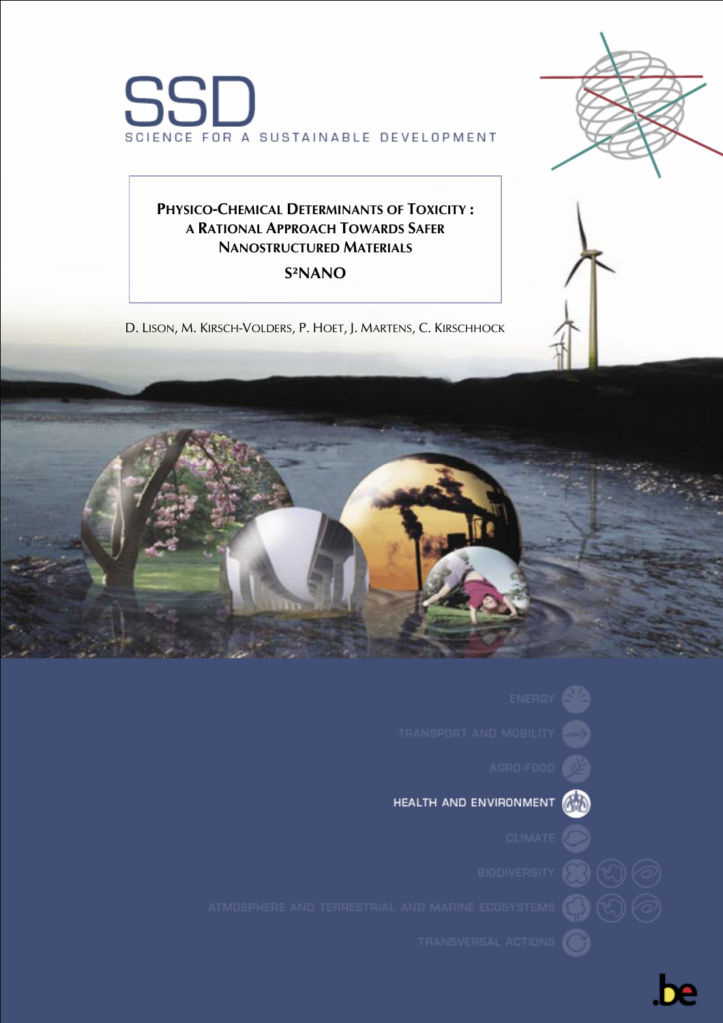



# **PHYSICO-CHEMICAL DETERMINANTS OF TOXICITY : A RATIONAL APPROACH TOWARDS SAFER NANOSTRUCTURED MATERIALS**

# **S²NANO**

D. LISON, M. KIRSCH-VOLDERS, P. HOET, J. MARTENS, C. KIRSCHHOCK











TRANSVERSAL ACTIONS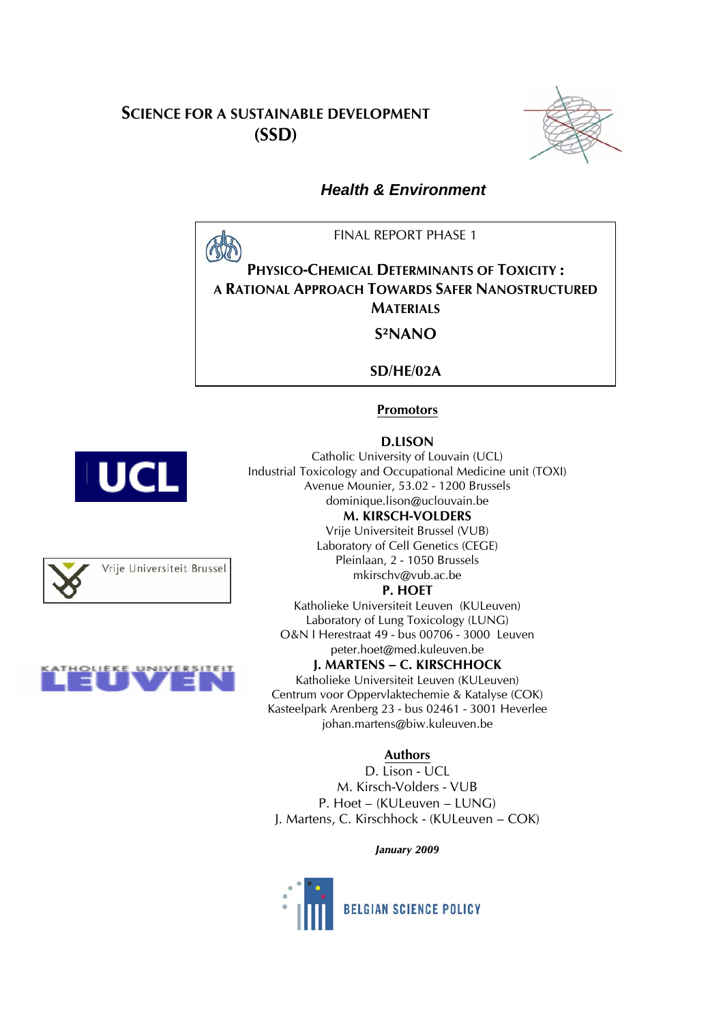# **SCIENCE FOR A SUSTAINABLE DEVELOPMENT (SSD)**



## *Health & Environment*

FINAL REPORT PHASE 1

**PHYSICO-CHEMICAL DETERMINANTS OF TOXICITY : A RATIONAL APPROACH TOWARDS SAFER NANOSTRUCTURED MATERIALS** 

**S²NANO** 

**SD/HE/02A** 

## **Promotors**

#### **D.LISON**

Catholic University of Louvain (UCL) Industrial Toxicology and Occupational Medicine unit (TOXI) Avenue Mounier, 53.02 - 1200 Brussels dominique.lison@uclouvain.be **M. KIRSCH-VOLDERS** 

Vrije Universiteit Brussel (VUB) Laboratory of Cell Genetics (CEGE) Pleinlaan, 2 - 1050 Brussels mkirschv@vub.ac.be

## **P. HOET**

Katholieke Universiteit Leuven (KULeuven) Laboratory of Lung Toxicology (LUNG) O&N I Herestraat 49 - bus 00706 - 3000 Leuven peter.hoet@med.kuleuven.be

## **J. MARTENS – C. KIRSCHHOCK**

Katholieke Universiteit Leuven (KULeuven) Centrum voor Oppervlaktechemie & Katalyse (COK) Kasteelpark Arenberg 23 - bus 02461 - 3001 Heverlee johan.martens@biw.kuleuven.be

## **Authors**

D. Lison - UCL M. Kirsch-Volders - VUB P. Hoet – (KULeuven – LUNG) J. Martens, C. Kirschhock - (KULeuven – COK)

*January 2009*







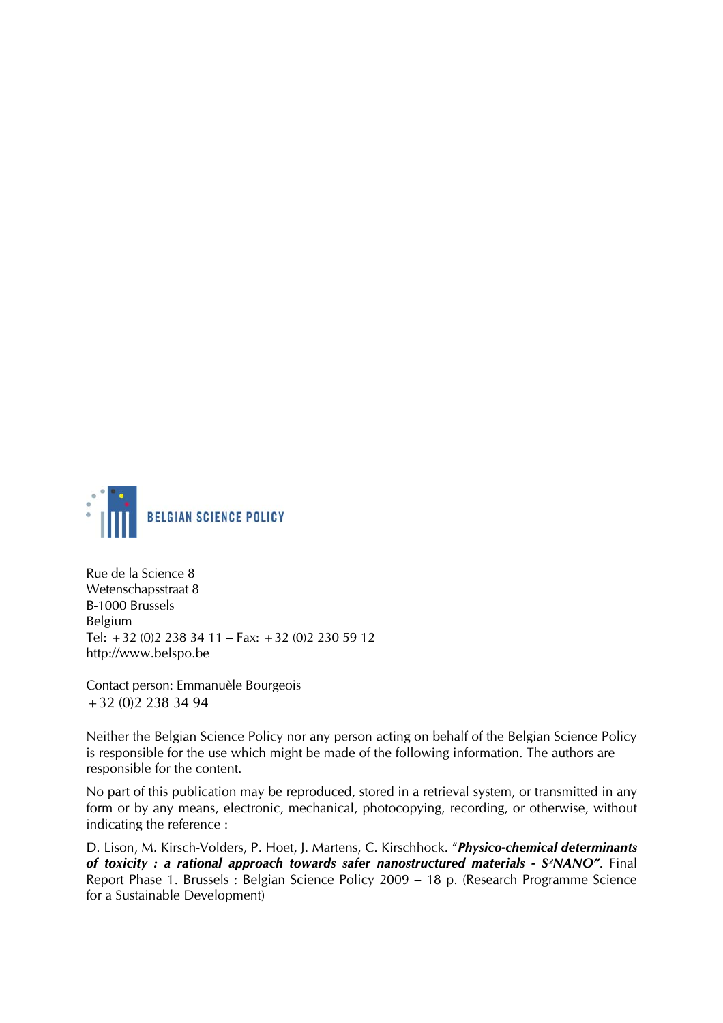

Rue de la Science 8 Wetenschapsstraat 8 B-1000 Brussels Belgium Tel: +32 (0)2 238 34 11 – Fax: +32 (0)2 230 59 12 http://www.belspo.be

Contact person: Emmanuèle Bourgeois +32 (0)2 238 34 94

Neither the Belgian Science Policy nor any person acting on behalf of the Belgian Science Policy is responsible for the use which might be made of the following information. The authors are responsible for the content.

No part of this publication may be reproduced, stored in a retrieval system, or transmitted in any form or by any means, electronic, mechanical, photocopying, recording, or otherwise, without indicating the reference :

D. Lison, M. Kirsch-Volders, P. Hoet, J. Martens, C. Kirschhock. "*Physico-chemical determinants of toxicity : a rational approach towards safer nanostructured materials - S²NANO"*. Final Report Phase 1. Brussels : Belgian Science Policy 2009 – 18 p. (Research Programme Science for a Sustainable Development)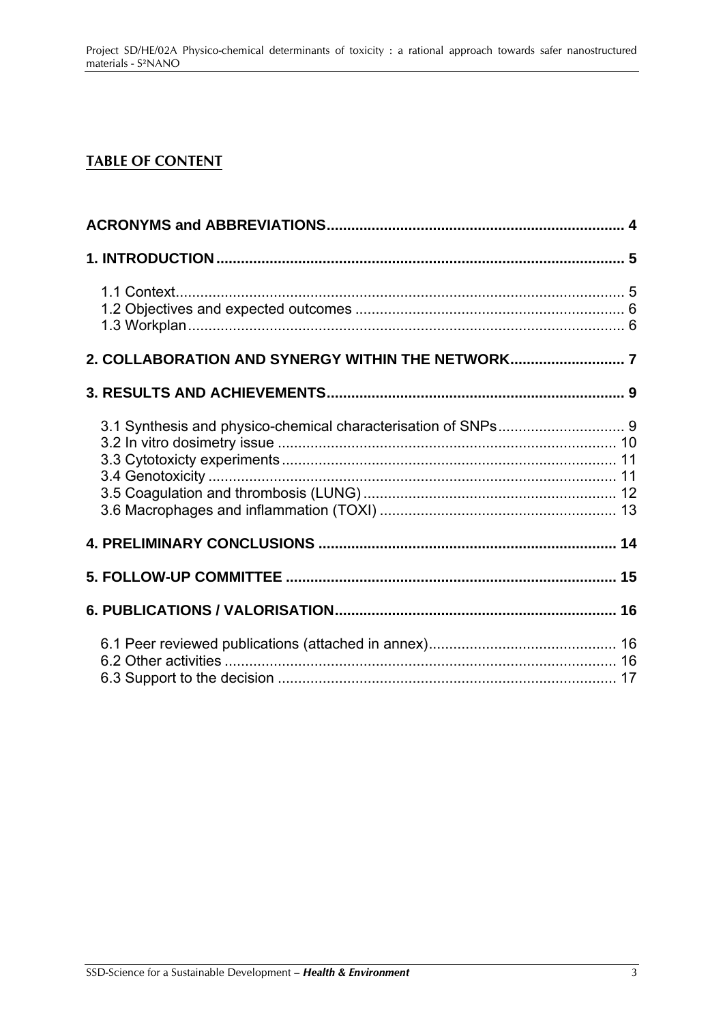# **TABLE OF CONTENT**

| 2. COLLABORATION AND SYNERGY WITHIN THE NETWORK 7 |  |
|---------------------------------------------------|--|
|                                                   |  |
|                                                   |  |
|                                                   |  |
|                                                   |  |
|                                                   |  |
|                                                   |  |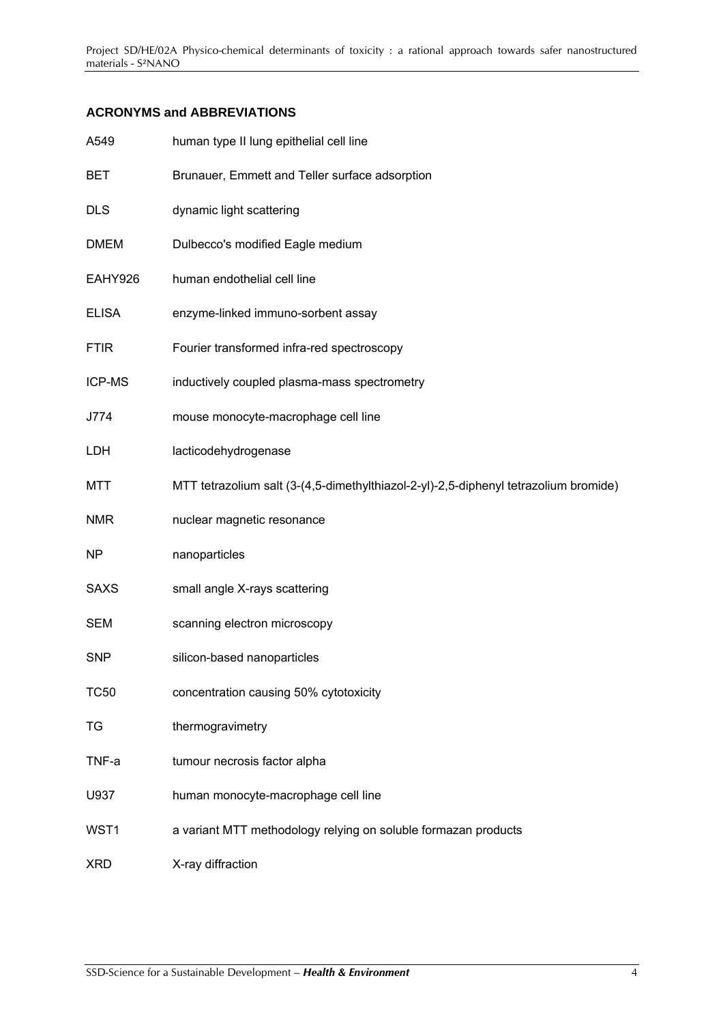## <span id="page-4-0"></span>**ACRONYMS and ABBREVIATIONS**

| A549          | human type II lung epithelial cell line                                              |
|---------------|--------------------------------------------------------------------------------------|
| BET           | Brunauer, Emmett and Teller surface adsorption                                       |
| <b>DLS</b>    | dynamic light scattering                                                             |
| <b>DMEM</b>   | Dulbecco's modified Eagle medium                                                     |
| EAHY926       | human endothelial cell line                                                          |
| <b>ELISA</b>  | enzyme-linked immuno-sorbent assay                                                   |
| <b>FTIR</b>   | Fourier transformed infra-red spectroscopy                                           |
| <b>ICP-MS</b> | inductively coupled plasma-mass spectrometry                                         |
| J774          | mouse monocyte-macrophage cell line                                                  |
| LDH           | lacticodehydrogenase                                                                 |
| <b>MTT</b>    | MTT tetrazolium salt (3-(4,5-dimethylthiazol-2-yl)-2,5-diphenyl tetrazolium bromide) |
| <b>NMR</b>    | nuclear magnetic resonance                                                           |
| <b>NP</b>     | nanoparticles                                                                        |
| <b>SAXS</b>   | small angle X-rays scattering                                                        |
| <b>SEM</b>    | scanning electron microscopy                                                         |
| <b>SNP</b>    | silicon-based nanoparticles                                                          |
| <b>TC50</b>   | concentration causing 50% cytotoxicity                                               |
| TG            | thermogravimetry                                                                     |
| TNF-a         | tumour necrosis factor alpha                                                         |
| U937          | human monocyte-macrophage cell line                                                  |
| WST1          | a variant MTT methodology relying on soluble formazan products                       |
| <b>XRD</b>    | X-ray diffraction                                                                    |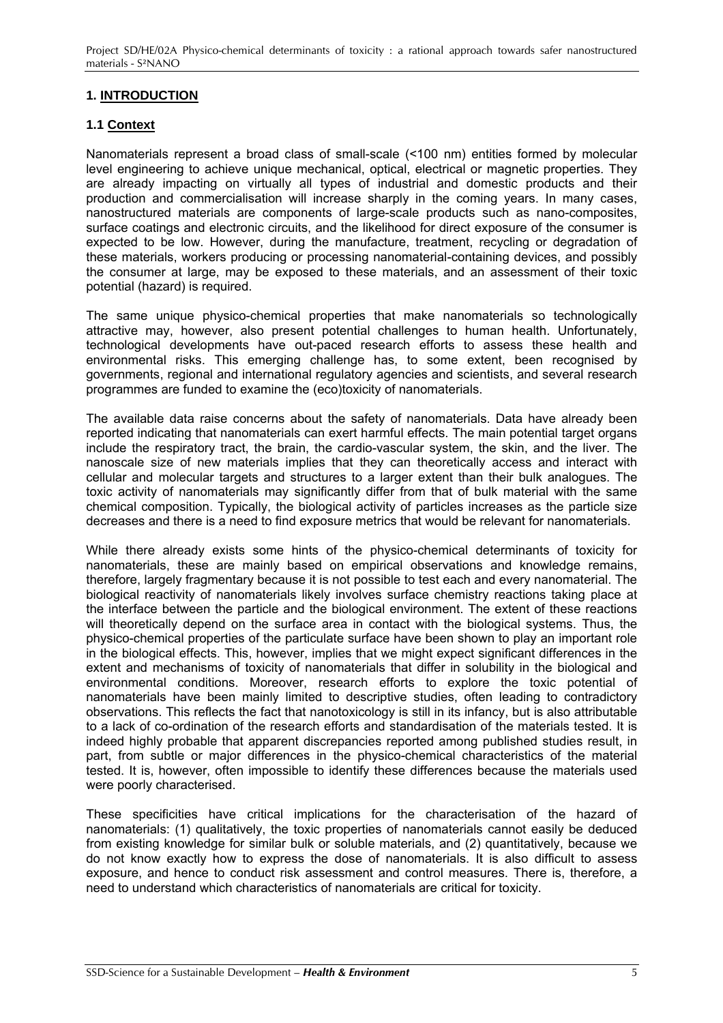<span id="page-5-0"></span>Project SD/HE/02A Physico-chemical determinants of toxicity : a rational approach towards safer nanostructured materials - S²NANO

## **1. INTRODUCTION**

### **1.1 Context**

Nanomaterials represent a broad class of small-scale (<100 nm) entities formed by molecular level engineering to achieve unique mechanical, optical, electrical or magnetic properties. They are already impacting on virtually all types of industrial and domestic products and their production and commercialisation will increase sharply in the coming years. In many cases, nanostructured materials are components of large-scale products such as nano-composites, surface coatings and electronic circuits, and the likelihood for direct exposure of the consumer is expected to be low. However, during the manufacture, treatment, recycling or degradation of these materials, workers producing or processing nanomaterial-containing devices, and possibly the consumer at large, may be exposed to these materials, and an assessment of their toxic potential (hazard) is required.

The same unique physico-chemical properties that make nanomaterials so technologically attractive may, however, also present potential challenges to human health. Unfortunately, technological developments have out-paced research efforts to assess these health and environmental risks. This emerging challenge has, to some extent, been recognised by governments, regional and international regulatory agencies and scientists, and several research programmes are funded to examine the (eco)toxicity of nanomaterials.

The available data raise concerns about the safety of nanomaterials. Data have already been reported indicating that nanomaterials can exert harmful effects. The main potential target organs include the respiratory tract, the brain, the cardio-vascular system, the skin, and the liver. The nanoscale size of new materials implies that they can theoretically access and interact with cellular and molecular targets and structures to a larger extent than their bulk analogues. The toxic activity of nanomaterials may significantly differ from that of bulk material with the same chemical composition. Typically, the biological activity of particles increases as the particle size decreases and there is a need to find exposure metrics that would be relevant for nanomaterials.

While there already exists some hints of the physico-chemical determinants of toxicity for nanomaterials, these are mainly based on empirical observations and knowledge remains, therefore, largely fragmentary because it is not possible to test each and every nanomaterial. The biological reactivity of nanomaterials likely involves surface chemistry reactions taking place at the interface between the particle and the biological environment. The extent of these reactions will theoretically depend on the surface area in contact with the biological systems. Thus, the physico-chemical properties of the particulate surface have been shown to play an important role in the biological effects. This, however, implies that we might expect significant differences in the extent and mechanisms of toxicity of nanomaterials that differ in solubility in the biological and environmental conditions. Moreover, research efforts to explore the toxic potential of nanomaterials have been mainly limited to descriptive studies, often leading to contradictory observations. This reflects the fact that nanotoxicology is still in its infancy, but is also attributable to a lack of co-ordination of the research efforts and standardisation of the materials tested. It is indeed highly probable that apparent discrepancies reported among published studies result, in part, from subtle or major differences in the physico-chemical characteristics of the material tested. It is, however, often impossible to identify these differences because the materials used were poorly characterised.

These specificities have critical implications for the characterisation of the hazard of nanomaterials: (1) qualitatively, the toxic properties of nanomaterials cannot easily be deduced from existing knowledge for similar bulk or soluble materials, and (2) quantitatively, because we do not know exactly how to express the dose of nanomaterials. It is also difficult to assess exposure, and hence to conduct risk assessment and control measures. There is, therefore, a need to understand which characteristics of nanomaterials are critical for toxicity.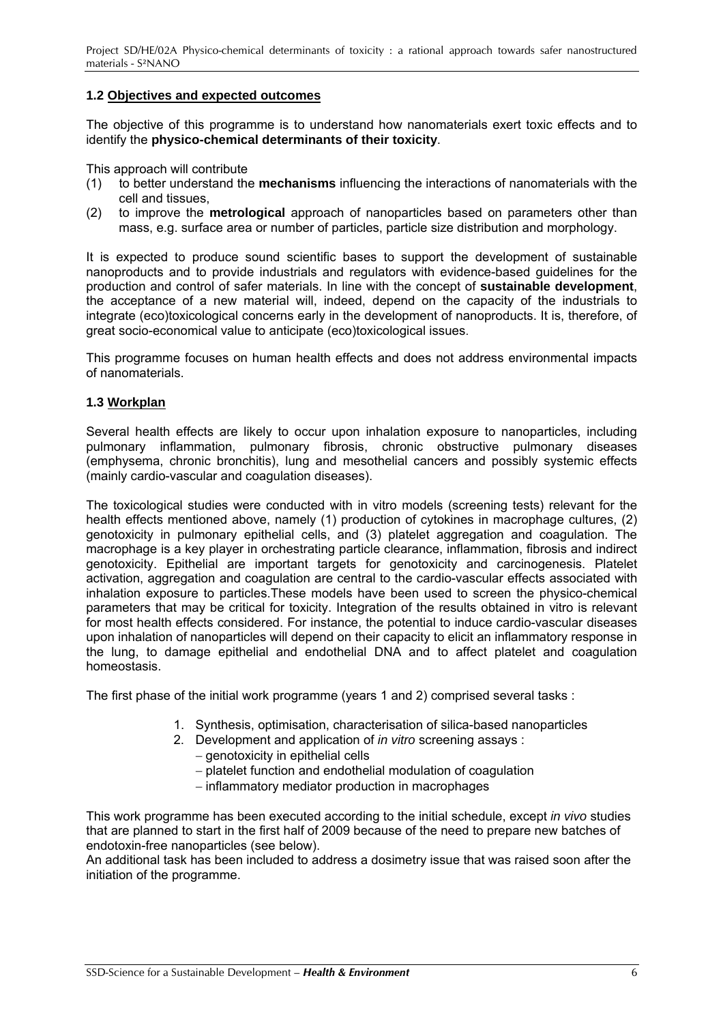## <span id="page-6-0"></span>**1.2 Objectives and expected outcomes**

The objective of this programme is to understand how nanomaterials exert toxic effects and to identify the **physico-chemical determinants of their toxicity**.

This approach will contribute

- (1) to better understand the **mechanisms** influencing the interactions of nanomaterials with the cell and tissues,
- (2) to improve the **metrological** approach of nanoparticles based on parameters other than mass, e.g. surface area or number of particles, particle size distribution and morphology.

It is expected to produce sound scientific bases to support the development of sustainable nanoproducts and to provide industrials and regulators with evidence-based guidelines for the production and control of safer materials. In line with the concept of **sustainable development**, the acceptance of a new material will, indeed, depend on the capacity of the industrials to integrate (eco)toxicological concerns early in the development of nanoproducts. It is, therefore, of great socio-economical value to anticipate (eco)toxicological issues.

This programme focuses on human health effects and does not address environmental impacts of nanomaterials.

#### **1.3 Workplan**

Several health effects are likely to occur upon inhalation exposure to nanoparticles, including pulmonary inflammation, pulmonary fibrosis, chronic obstructive pulmonary diseases (emphysema, chronic bronchitis), lung and mesothelial cancers and possibly systemic effects (mainly cardio-vascular and coagulation diseases).

The toxicological studies were conducted with in vitro models (screening tests) relevant for the health effects mentioned above, namely (1) production of cytokines in macrophage cultures, (2) genotoxicity in pulmonary epithelial cells, and (3) platelet aggregation and coagulation. The macrophage is a key player in orchestrating particle clearance, inflammation, fibrosis and indirect genotoxicity. Epithelial are important targets for genotoxicity and carcinogenesis. Platelet activation, aggregation and coagulation are central to the cardio-vascular effects associated with inhalation exposure to particles.These models have been used to screen the physico-chemical parameters that may be critical for toxicity. Integration of the results obtained in vitro is relevant for most health effects considered. For instance, the potential to induce cardio-vascular diseases upon inhalation of nanoparticles will depend on their capacity to elicit an inflammatory response in the lung, to damage epithelial and endothelial DNA and to affect platelet and coagulation homeostasis.

The first phase of the initial work programme (years 1 and 2) comprised several tasks :

- 1. Synthesis, optimisation, characterisation of silica-based nanoparticles
- 2. Development and application of *in vitro* screening assays :
	- − genotoxicity in epithelial cells
	- − platelet function and endothelial modulation of coagulation
	- − inflammatory mediator production in macrophages

This work programme has been executed according to the initial schedule, except *in vivo* studies that are planned to start in the first half of 2009 because of the need to prepare new batches of endotoxin-free nanoparticles (see below).

An additional task has been included to address a dosimetry issue that was raised soon after the initiation of the programme.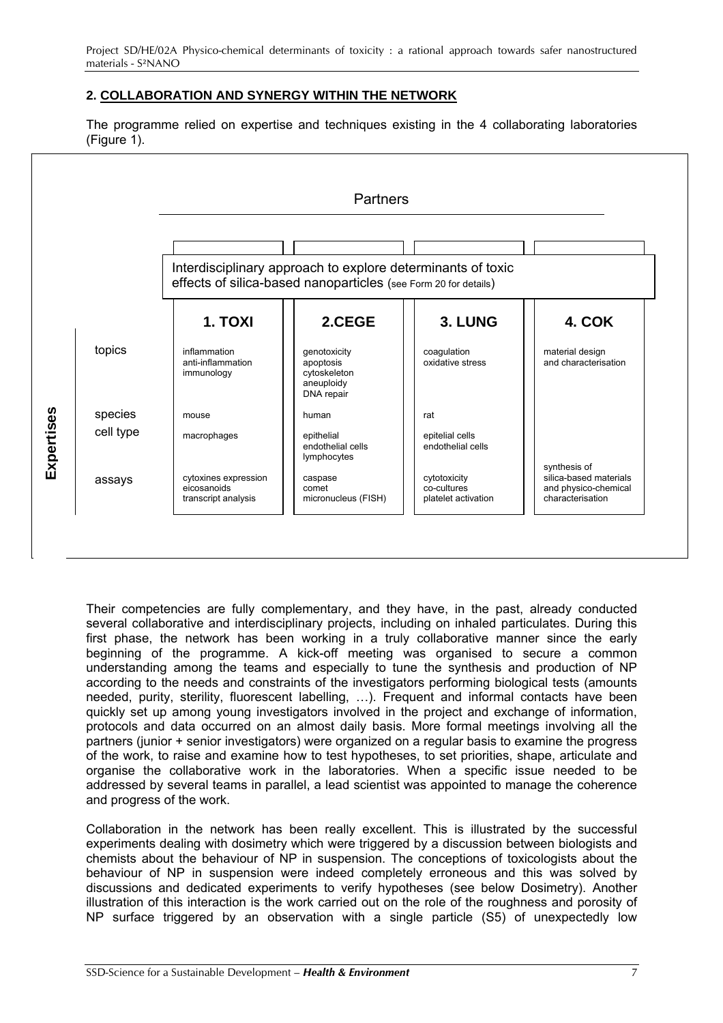## <span id="page-7-0"></span>**2. COLLABORATION AND SYNERGY WITHIN THE NETWORK**

The programme relied on expertise and techniques existing in the 4 collaborating laboratories (Figure 1).

|            |           |                                                            | Interdisciplinary approach to explore determinants of toxic<br>effects of silica-based nanoparticles (see Form 20 for details) |                                                    |                                                                                    |
|------------|-----------|------------------------------------------------------------|--------------------------------------------------------------------------------------------------------------------------------|----------------------------------------------------|------------------------------------------------------------------------------------|
|            |           | 1. TOXI                                                    | 2.CEGE                                                                                                                         | 3. LUNG                                            | 4. COK                                                                             |
| Expertises | topics    | inflammation<br>anti-inflammation<br>immunology            | genotoxicity<br>apoptosis<br>cytoskeleton<br>aneuploidy<br>DNA repair                                                          | coaqulation<br>oxidative stress                    | material design<br>and characterisation                                            |
|            | species   | mouse                                                      | human                                                                                                                          | rat                                                |                                                                                    |
|            | cell type | macrophages                                                | epithelial<br>endothelial cells<br>lymphocytes                                                                                 | epitelial cells<br>endothelial cells               |                                                                                    |
|            | assays    | cytoxines expression<br>eicosanoids<br>transcript analysis | caspase<br>comet<br>micronucleus (FISH)                                                                                        | cytotoxicity<br>co-cultures<br>platelet activation | synthesis of<br>silica-based materials<br>and physico-chemical<br>characterisation |

Their competencies are fully complementary, and they have, in the past, already conducted several collaborative and interdisciplinary projects, including on inhaled particulates. During this first phase, the network has been working in a truly collaborative manner since the early beginning of the programme. A kick-off meeting was organised to secure a common understanding among the teams and especially to tune the synthesis and production of NP according to the needs and constraints of the investigators performing biological tests (amounts needed, purity, sterility, fluorescent labelling, …). Frequent and informal contacts have been quickly set up among young investigators involved in the project and exchange of information, protocols and data occurred on an almost daily basis. More formal meetings involving all the partners (junior + senior investigators) were organized on a regular basis to examine the progress of the work, to raise and examine how to test hypotheses, to set priorities, shape, articulate and organise the collaborative work in the laboratories. When a specific issue needed to be addressed by several teams in parallel, a lead scientist was appointed to manage the coherence and progress of the work.

Collaboration in the network has been really excellent. This is illustrated by the successful experiments dealing with dosimetry which were triggered by a discussion between biologists and chemists about the behaviour of NP in suspension. The conceptions of toxicologists about the behaviour of NP in suspension were indeed completely erroneous and this was solved by discussions and dedicated experiments to verify hypotheses (see below Dosimetry). Another illustration of this interaction is the work carried out on the role of the roughness and porosity of NP surface triggered by an observation with a single particle (S5) of unexpectedly low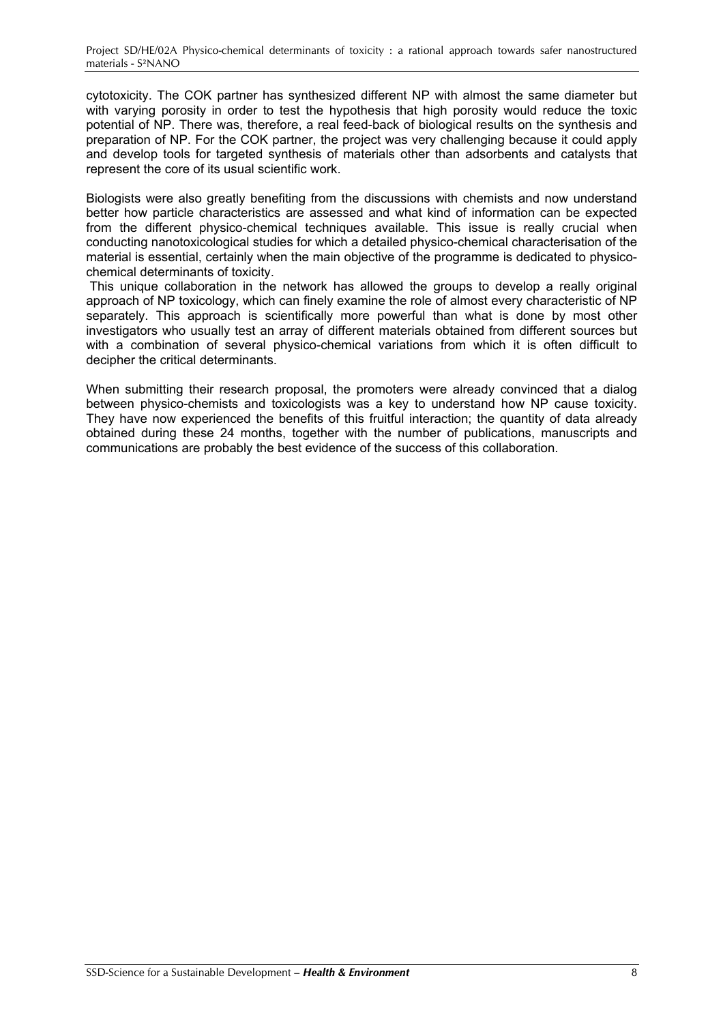cytotoxicity. The COK partner has synthesized different NP with almost the same diameter but with varying porosity in order to test the hypothesis that high porosity would reduce the toxic potential of NP. There was, therefore, a real feed-back of biological results on the synthesis and preparation of NP. For the COK partner, the project was very challenging because it could apply and develop tools for targeted synthesis of materials other than adsorbents and catalysts that represent the core of its usual scientific work.

Biologists were also greatly benefiting from the discussions with chemists and now understand better how particle characteristics are assessed and what kind of information can be expected from the different physico-chemical techniques available. This issue is really crucial when conducting nanotoxicological studies for which a detailed physico-chemical characterisation of the material is essential, certainly when the main objective of the programme is dedicated to physicochemical determinants of toxicity.

This unique collaboration in the network has allowed the groups to develop a really original approach of NP toxicology, which can finely examine the role of almost every characteristic of NP separately. This approach is scientifically more powerful than what is done by most other investigators who usually test an array of different materials obtained from different sources but with a combination of several physico-chemical variations from which it is often difficult to decipher the critical determinants.

When submitting their research proposal, the promoters were already convinced that a dialog between physico-chemists and toxicologists was a key to understand how NP cause toxicity. They have now experienced the benefits of this fruitful interaction; the quantity of data already obtained during these 24 months, together with the number of publications, manuscripts and communications are probably the best evidence of the success of this collaboration.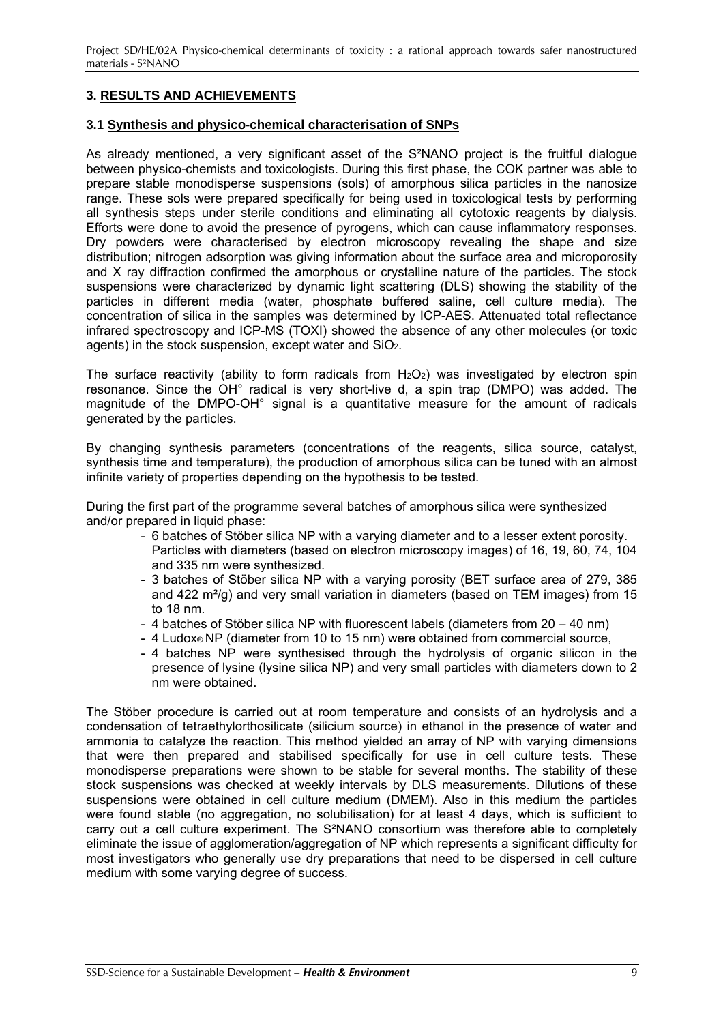## <span id="page-9-0"></span>**3. RESULTS AND ACHIEVEMENTS**

### **3.1 Synthesis and physico-chemical characterisation of SNPs**

As already mentioned, a very significant asset of the S<sup>2</sup>NANO project is the fruitful dialogue between physico-chemists and toxicologists. During this first phase, the COK partner was able to prepare stable monodisperse suspensions (sols) of amorphous silica particles in the nanosize range. These sols were prepared specifically for being used in toxicological tests by performing all synthesis steps under sterile conditions and eliminating all cytotoxic reagents by dialysis. Efforts were done to avoid the presence of pyrogens, which can cause inflammatory responses. Dry powders were characterised by electron microscopy revealing the shape and size distribution; nitrogen adsorption was giving information about the surface area and microporosity and X ray diffraction confirmed the amorphous or crystalline nature of the particles. The stock suspensions were characterized by dynamic light scattering (DLS) showing the stability of the particles in different media (water, phosphate buffered saline, cell culture media). The concentration of silica in the samples was determined by ICP-AES. Attenuated total reflectance infrared spectroscopy and ICP-MS (TOXI) showed the absence of any other molecules (or toxic agents) in the stock suspension, except water and SiO2.

The surface reactivity (ability to form radicals from  $H_2O_2$ ) was investigated by electron spin resonance. Since the OH° radical is very short-live d, a spin trap (DMPO) was added. The magnitude of the DMPO-OH° signal is a quantitative measure for the amount of radicals generated by the particles.

By changing synthesis parameters (concentrations of the reagents, silica source, catalyst, synthesis time and temperature), the production of amorphous silica can be tuned with an almost infinite variety of properties depending on the hypothesis to be tested.

During the first part of the programme several batches of amorphous silica were synthesized and/or prepared in liquid phase:

- 6 batches of Stöber silica NP with a varying diameter and to a lesser extent porosity. Particles with diameters (based on electron microscopy images) of 16, 19, 60, 74, 104 and 335 nm were synthesized.
- 3 batches of Stöber silica NP with a varying porosity (BET surface area of 279, 385 and 422 m²/g) and very small variation in diameters (based on TEM images) from 15 to 18 nm.
- 4 batches of Stöber silica NP with fluorescent labels (diameters from 20 40 nm)
- 4 Ludox® NP (diameter from 10 to 15 nm) were obtained from commercial source,
- 4 batches NP were synthesised through the hydrolysis of organic silicon in the presence of lysine (lysine silica NP) and very small particles with diameters down to 2 nm were obtained.

The Stöber procedure is carried out at room temperature and consists of an hydrolysis and a condensation of tetraethylorthosilicate (silicium source) in ethanol in the presence of water and ammonia to catalyze the reaction. This method yielded an array of NP with varying dimensions that were then prepared and stabilised specifically for use in cell culture tests. These monodisperse preparations were shown to be stable for several months. The stability of these stock suspensions was checked at weekly intervals by DLS measurements. Dilutions of these suspensions were obtained in cell culture medium (DMEM). Also in this medium the particles were found stable (no aggregation, no solubilisation) for at least 4 days, which is sufficient to carry out a cell culture experiment. The S²NANO consortium was therefore able to completely eliminate the issue of agglomeration/aggregation of NP which represents a significant difficulty for most investigators who generally use dry preparations that need to be dispersed in cell culture medium with some varying degree of success.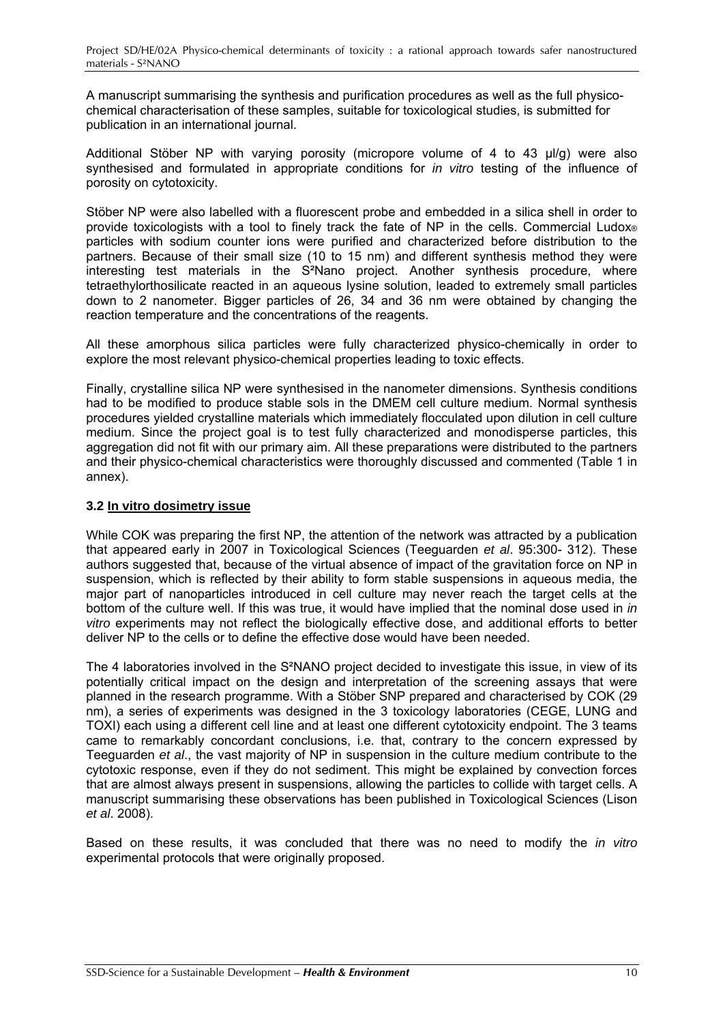<span id="page-10-0"></span>A manuscript summarising the synthesis and purification procedures as well as the full physicochemical characterisation of these samples, suitable for toxicological studies, is submitted for publication in an international journal.

Additional Stöber NP with varying porosity (micropore volume of 4 to 43 μl/g) were also synthesised and formulated in appropriate conditions for *in vitro* testing of the influence of porosity on cytotoxicity.

Stöber NP were also labelled with a fluorescent probe and embedded in a silica shell in order to provide toxicologists with a tool to finely track the fate of NP in the cells. Commercial Ludox® particles with sodium counter ions were purified and characterized before distribution to the partners. Because of their small size (10 to 15 nm) and different synthesis method they were interesting test materials in the S²Nano project. Another synthesis procedure, where tetraethylorthosilicate reacted in an aqueous lysine solution, leaded to extremely small particles down to 2 nanometer. Bigger particles of 26, 34 and 36 nm were obtained by changing the reaction temperature and the concentrations of the reagents.

All these amorphous silica particles were fully characterized physico-chemically in order to explore the most relevant physico-chemical properties leading to toxic effects.

Finally, crystalline silica NP were synthesised in the nanometer dimensions. Synthesis conditions had to be modified to produce stable sols in the DMEM cell culture medium. Normal synthesis procedures yielded crystalline materials which immediately flocculated upon dilution in cell culture medium. Since the project goal is to test fully characterized and monodisperse particles, this aggregation did not fit with our primary aim. All these preparations were distributed to the partners and their physico-chemical characteristics were thoroughly discussed and commented (Table 1 in annex).

## **3.2 In vitro dosimetry issue**

While COK was preparing the first NP, the attention of the network was attracted by a publication that appeared early in 2007 in Toxicological Sciences (Teeguarden *et al*. 95:300- 312). These authors suggested that, because of the virtual absence of impact of the gravitation force on NP in suspension, which is reflected by their ability to form stable suspensions in aqueous media, the major part of nanoparticles introduced in cell culture may never reach the target cells at the bottom of the culture well. If this was true, it would have implied that the nominal dose used in *in vitro* experiments may not reflect the biologically effective dose, and additional efforts to better deliver NP to the cells or to define the effective dose would have been needed.

The 4 laboratories involved in the S²NANO project decided to investigate this issue, in view of its potentially critical impact on the design and interpretation of the screening assays that were planned in the research programme. With a Stöber SNP prepared and characterised by COK (29 nm), a series of experiments was designed in the 3 toxicology laboratories (CEGE, LUNG and TOXI) each using a different cell line and at least one different cytotoxicity endpoint. The 3 teams came to remarkably concordant conclusions, i.e. that, contrary to the concern expressed by Teeguarden *et al*., the vast majority of NP in suspension in the culture medium contribute to the cytotoxic response, even if they do not sediment. This might be explained by convection forces that are almost always present in suspensions, allowing the particles to collide with target cells. A manuscript summarising these observations has been published in Toxicological Sciences (Lison *et al*. 2008).

Based on these results, it was concluded that there was no need to modify the *in vitro*  experimental protocols that were originally proposed.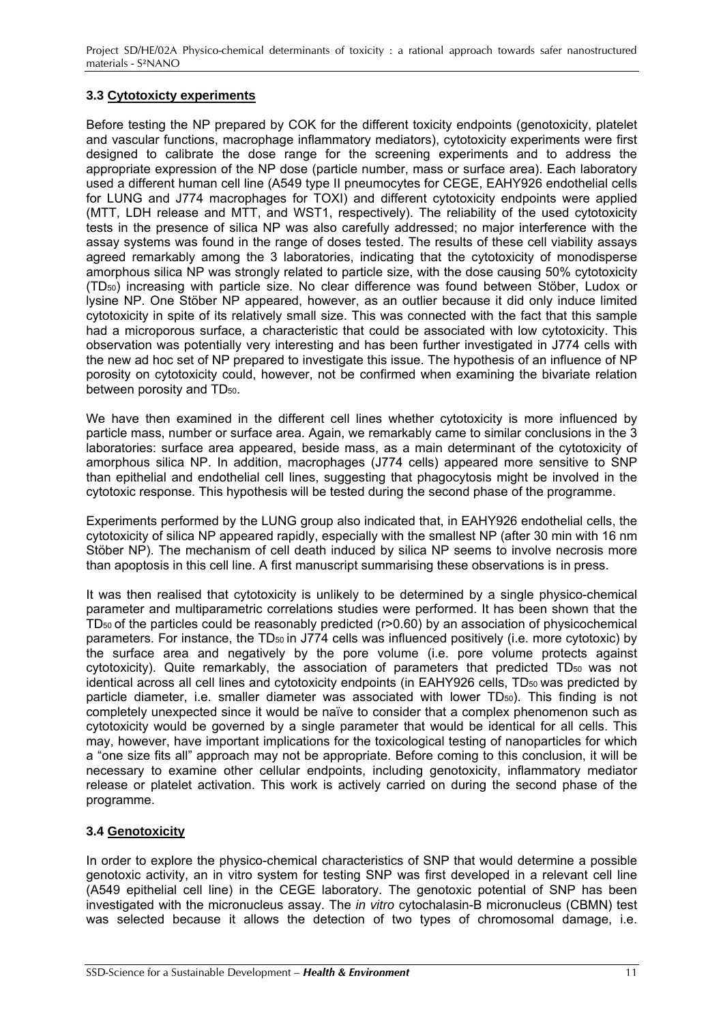## <span id="page-11-0"></span>**3.3 Cytotoxicty experiments**

Before testing the NP prepared by COK for the different toxicity endpoints (genotoxicity, platelet and vascular functions, macrophage inflammatory mediators), cytotoxicity experiments were first designed to calibrate the dose range for the screening experiments and to address the appropriate expression of the NP dose (particle number, mass or surface area). Each laboratory used a different human cell line (A549 type II pneumocytes for CEGE, EAHY926 endothelial cells for LUNG and J774 macrophages for TOXI) and different cytotoxicity endpoints were applied (MTT, LDH release and MTT, and WST1, respectively). The reliability of the used cytotoxicity tests in the presence of silica NP was also carefully addressed; no major interference with the assay systems was found in the range of doses tested. The results of these cell viability assays agreed remarkably among the 3 laboratories, indicating that the cytotoxicity of monodisperse amorphous silica NP was strongly related to particle size, with the dose causing 50% cytotoxicity (TD50) increasing with particle size. No clear difference was found between Stöber, Ludox or lysine NP. One Stöber NP appeared, however, as an outlier because it did only induce limited cytotoxicity in spite of its relatively small size. This was connected with the fact that this sample had a microporous surface, a characteristic that could be associated with low cytotoxicity. This observation was potentially very interesting and has been further investigated in J774 cells with the new ad hoc set of NP prepared to investigate this issue. The hypothesis of an influence of NP porosity on cytotoxicity could, however, not be confirmed when examining the bivariate relation between porosity and TD<sub>50</sub>.

We have then examined in the different cell lines whether cytotoxicity is more influenced by particle mass, number or surface area. Again, we remarkably came to similar conclusions in the 3 laboratories: surface area appeared, beside mass, as a main determinant of the cytotoxicity of amorphous silica NP. In addition, macrophages (J774 cells) appeared more sensitive to SNP than epithelial and endothelial cell lines, suggesting that phagocytosis might be involved in the cytotoxic response. This hypothesis will be tested during the second phase of the programme.

Experiments performed by the LUNG group also indicated that, in EAHY926 endothelial cells, the cytotoxicity of silica NP appeared rapidly, especially with the smallest NP (after 30 min with 16 nm Stöber NP). The mechanism of cell death induced by silica NP seems to involve necrosis more than apoptosis in this cell line. A first manuscript summarising these observations is in press.

It was then realised that cytotoxicity is unlikely to be determined by a single physico-chemical parameter and multiparametric correlations studies were performed. It has been shown that the  $TD<sub>50</sub>$  of the particles could be reasonably predicted (r>0.60) by an association of physicochemical parameters. For instance, the TD<sub>50</sub> in J774 cells was influenced positively (i.e. more cytotoxic) by the surface area and negatively by the pore volume (i.e. pore volume protects against cytotoxicity). Quite remarkably, the association of parameters that predicted TD<sub>50</sub> was not identical across all cell lines and cytotoxicity endpoints (in EAHY926 cells, TD<sub>50</sub> was predicted by particle diameter, i.e. smaller diameter was associated with lower TD50). This finding is not completely unexpected since it would be naïve to consider that a complex phenomenon such as cytotoxicity would be governed by a single parameter that would be identical for all cells. This may, however, have important implications for the toxicological testing of nanoparticles for which a "one size fits all" approach may not be appropriate. Before coming to this conclusion, it will be necessary to examine other cellular endpoints, including genotoxicity, inflammatory mediator release or platelet activation. This work is actively carried on during the second phase of the programme.

## **3.4 Genotoxicity**

In order to explore the physico-chemical characteristics of SNP that would determine a possible genotoxic activity, an in vitro system for testing SNP was first developed in a relevant cell line (A549 epithelial cell line) in the CEGE laboratory. The genotoxic potential of SNP has been investigated with the micronucleus assay. The *in vitro* cytochalasin-B micronucleus (CBMN) test was selected because it allows the detection of two types of chromosomal damage, i.e.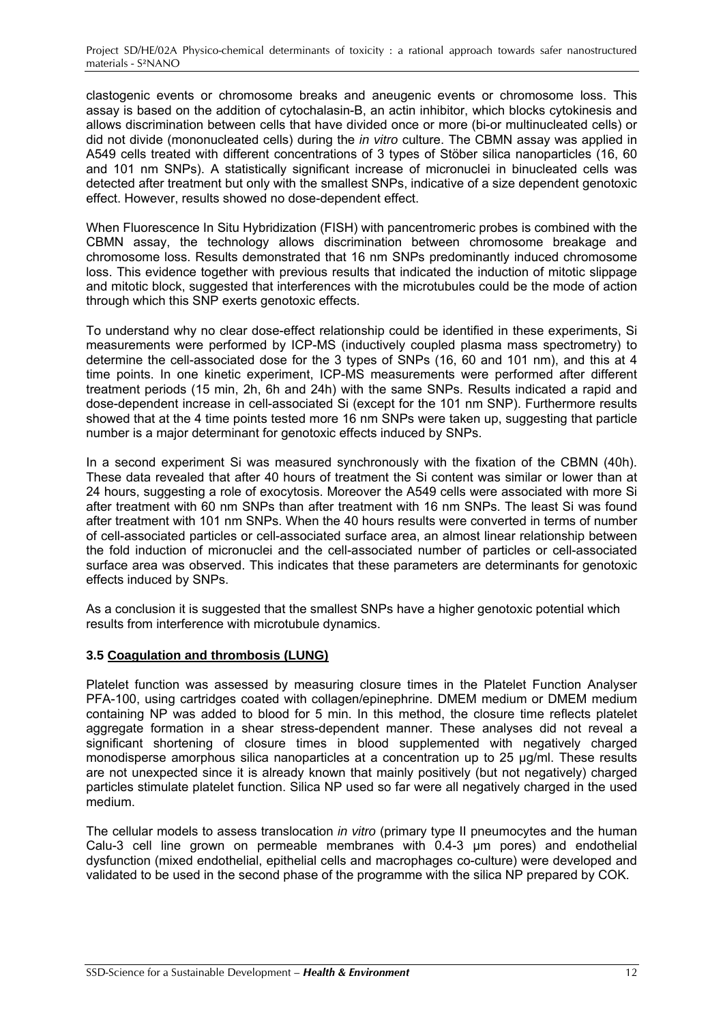<span id="page-12-0"></span>clastogenic events or chromosome breaks and aneugenic events or chromosome loss. This assay is based on the addition of cytochalasin-B, an actin inhibitor, which blocks cytokinesis and allows discrimination between cells that have divided once or more (bi-or multinucleated cells) or did not divide (mononucleated cells) during the *in vitro* culture. The CBMN assay was applied in A549 cells treated with different concentrations of 3 types of Stöber silica nanoparticles (16, 60 and 101 nm SNPs). A statistically significant increase of micronuclei in binucleated cells was detected after treatment but only with the smallest SNPs, indicative of a size dependent genotoxic effect. However, results showed no dose-dependent effect.

When Fluorescence In Situ Hybridization (FISH) with pancentromeric probes is combined with the CBMN assay, the technology allows discrimination between chromosome breakage and chromosome loss. Results demonstrated that 16 nm SNPs predominantly induced chromosome loss. This evidence together with previous results that indicated the induction of mitotic slippage and mitotic block, suggested that interferences with the microtubules could be the mode of action through which this SNP exerts genotoxic effects.

To understand why no clear dose-effect relationship could be identified in these experiments, Si measurements were performed by ICP-MS (inductively coupled plasma mass spectrometry) to determine the cell-associated dose for the 3 types of SNPs (16, 60 and 101 nm), and this at 4 time points. In one kinetic experiment, ICP-MS measurements were performed after different treatment periods (15 min, 2h, 6h and 24h) with the same SNPs. Results indicated a rapid and dose-dependent increase in cell-associated Si (except for the 101 nm SNP). Furthermore results showed that at the 4 time points tested more 16 nm SNPs were taken up, suggesting that particle number is a major determinant for genotoxic effects induced by SNPs.

In a second experiment Si was measured synchronously with the fixation of the CBMN (40h). These data revealed that after 40 hours of treatment the Si content was similar or lower than at 24 hours, suggesting a role of exocytosis. Moreover the A549 cells were associated with more Si after treatment with 60 nm SNPs than after treatment with 16 nm SNPs. The least Si was found after treatment with 101 nm SNPs. When the 40 hours results were converted in terms of number of cell-associated particles or cell-associated surface area, an almost linear relationship between the fold induction of micronuclei and the cell-associated number of particles or cell-associated surface area was observed. This indicates that these parameters are determinants for genotoxic effects induced by SNPs.

As a conclusion it is suggested that the smallest SNPs have a higher genotoxic potential which results from interference with microtubule dynamics.

## **3.5 Coagulation and thrombosis (LUNG)**

Platelet function was assessed by measuring closure times in the Platelet Function Analyser PFA-100, using cartridges coated with collagen/epinephrine. DMEM medium or DMEM medium containing NP was added to blood for 5 min. In this method, the closure time reflects platelet aggregate formation in a shear stress-dependent manner. These analyses did not reveal a significant shortening of closure times in blood supplemented with negatively charged monodisperse amorphous silica nanoparticles at a concentration up to 25 μg/ml. These results are not unexpected since it is already known that mainly positively (but not negatively) charged particles stimulate platelet function. Silica NP used so far were all negatively charged in the used medium.

The cellular models to assess translocation *in vitro* (primary type II pneumocytes and the human Calu-3 cell line grown on permeable membranes with 0.4-3 μm pores) and endothelial dysfunction (mixed endothelial, epithelial cells and macrophages co-culture) were developed and validated to be used in the second phase of the programme with the silica NP prepared by COK.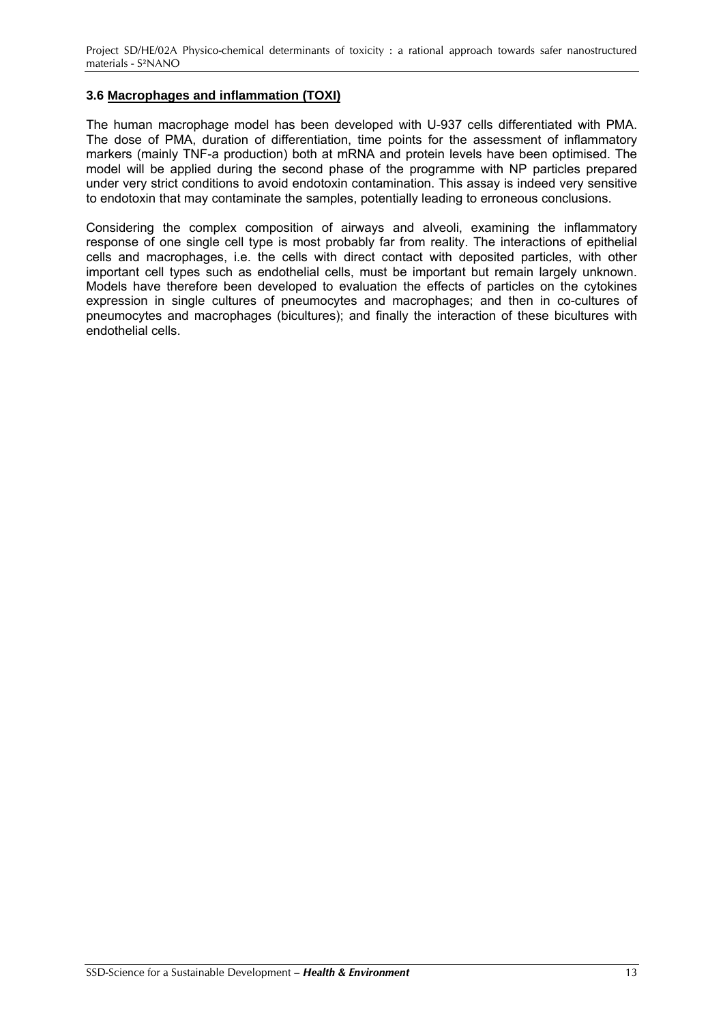## <span id="page-13-0"></span>**3.6 Macrophages and inflammation (TOXI)**

The human macrophage model has been developed with U-937 cells differentiated with PMA. The dose of PMA, duration of differentiation, time points for the assessment of inflammatory markers (mainly TNF-a production) both at mRNA and protein levels have been optimised. The model will be applied during the second phase of the programme with NP particles prepared under very strict conditions to avoid endotoxin contamination. This assay is indeed very sensitive to endotoxin that may contaminate the samples, potentially leading to erroneous conclusions.

Considering the complex composition of airways and alveoli, examining the inflammatory response of one single cell type is most probably far from reality. The interactions of epithelial cells and macrophages, i.e. the cells with direct contact with deposited particles, with other important cell types such as endothelial cells, must be important but remain largely unknown. Models have therefore been developed to evaluation the effects of particles on the cytokines expression in single cultures of pneumocytes and macrophages; and then in co-cultures of pneumocytes and macrophages (bicultures); and finally the interaction of these bicultures with endothelial cells.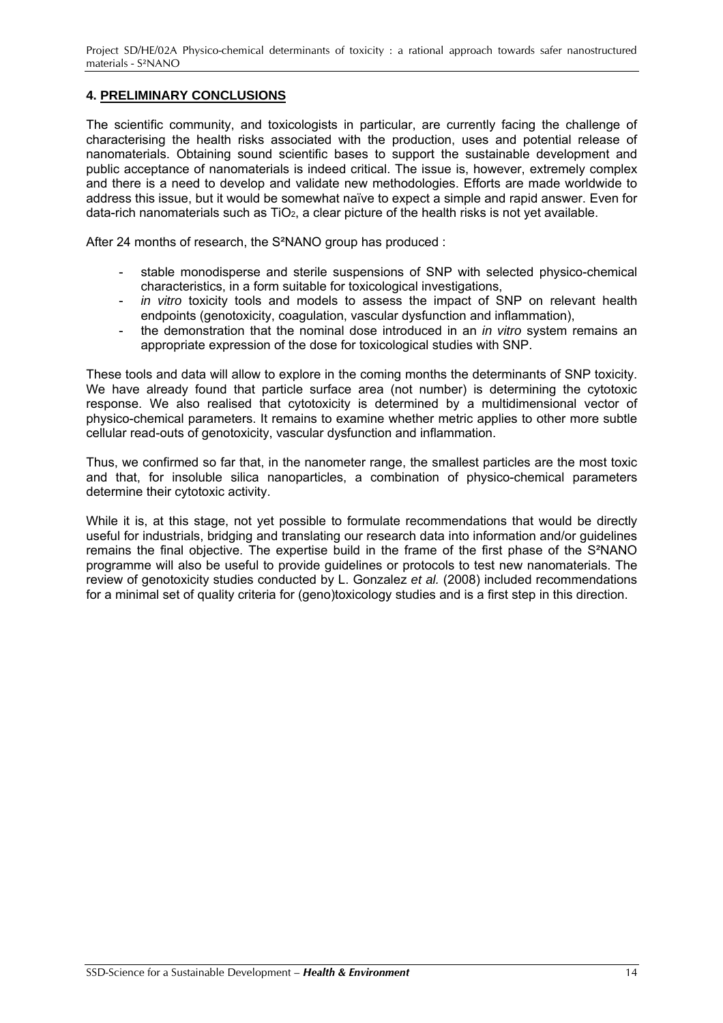## <span id="page-14-0"></span>**4. PRELIMINARY CONCLUSIONS**

The scientific community, and toxicologists in particular, are currently facing the challenge of characterising the health risks associated with the production, uses and potential release of nanomaterials. Obtaining sound scientific bases to support the sustainable development and public acceptance of nanomaterials is indeed critical. The issue is, however, extremely complex and there is a need to develop and validate new methodologies. Efforts are made worldwide to address this issue, but it would be somewhat naïve to expect a simple and rapid answer. Even for data-rich nanomaterials such as  $TiO<sub>2</sub>$ , a clear picture of the health risks is not yet available.

After 24 months of research, the S²NANO group has produced :

- stable monodisperse and sterile suspensions of SNP with selected physico-chemical characteristics, in a form suitable for toxicological investigations,
- in vitro toxicity tools and models to assess the impact of SNP on relevant health endpoints (genotoxicity, coagulation, vascular dysfunction and inflammation),
- the demonstration that the nominal dose introduced in an *in vitro* system remains an appropriate expression of the dose for toxicological studies with SNP.

These tools and data will allow to explore in the coming months the determinants of SNP toxicity. We have already found that particle surface area (not number) is determining the cytotoxic response. We also realised that cytotoxicity is determined by a multidimensional vector of physico-chemical parameters. It remains to examine whether metric applies to other more subtle cellular read-outs of genotoxicity, vascular dysfunction and inflammation.

Thus, we confirmed so far that, in the nanometer range, the smallest particles are the most toxic and that, for insoluble silica nanoparticles, a combination of physico-chemical parameters determine their cytotoxic activity.

While it is, at this stage, not yet possible to formulate recommendations that would be directly useful for industrials, bridging and translating our research data into information and/or guidelines remains the final objective. The expertise build in the frame of the first phase of the S²NANO programme will also be useful to provide guidelines or protocols to test new nanomaterials. The review of genotoxicity studies conducted by L. Gonzalez *et al.* (2008) included recommendations for a minimal set of quality criteria for (geno)toxicology studies and is a first step in this direction.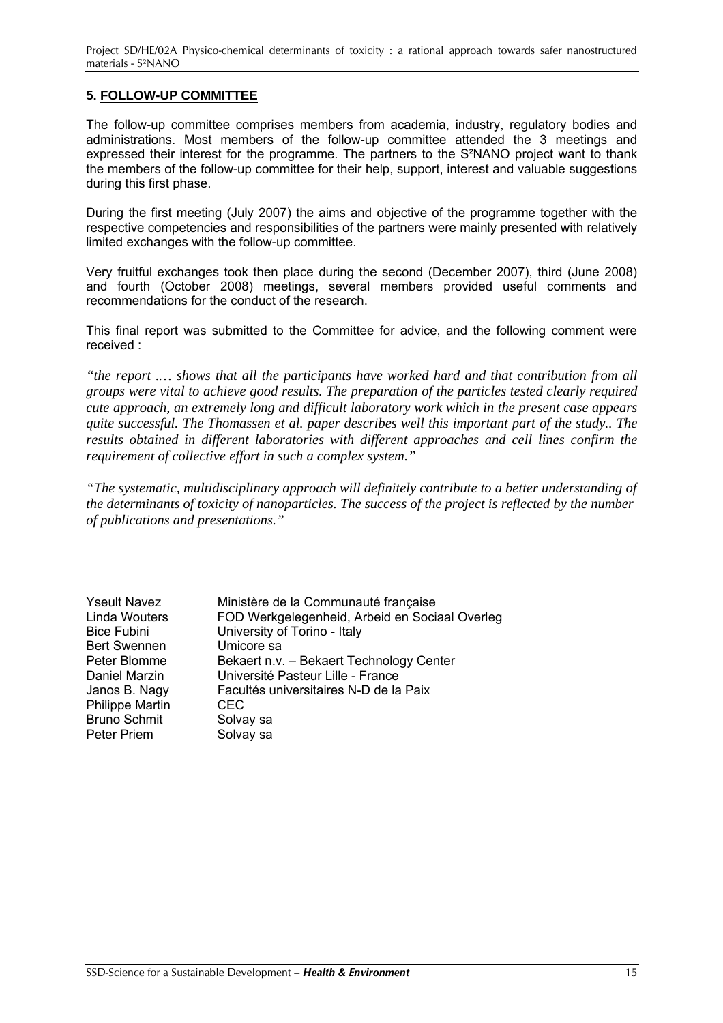## <span id="page-15-0"></span>**5. FOLLOW-UP COMMITTEE**

The follow-up committee comprises members from academia, industry, regulatory bodies and administrations. Most members of the follow-up committee attended the 3 meetings and expressed their interest for the programme. The partners to the S²NANO project want to thank the members of the follow-up committee for their help, support, interest and valuable suggestions during this first phase.

During the first meeting (July 2007) the aims and objective of the programme together with the respective competencies and responsibilities of the partners were mainly presented with relatively limited exchanges with the follow-up committee.

Very fruitful exchanges took then place during the second (December 2007), third (June 2008) and fourth (October 2008) meetings, several members provided useful comments and recommendations for the conduct of the research.

This final report was submitted to the Committee for advice, and the following comment were received :

*"the report .… shows that all the participants have worked hard and that contribution from all groups were vital to achieve good results. The preparation of the particles tested clearly required cute approach, an extremely long and difficult laboratory work which in the present case appears quite successful. The Thomassen et al. paper describes well this important part of the study.. The results obtained in different laboratories with different approaches and cell lines confirm the requirement of collective effort in such a complex system."* 

*"The systematic, multidisciplinary approach will definitely contribute to a better understanding of the determinants of toxicity of nanoparticles. The success of the project is reflected by the number of publications and presentations."*

| <b>Yseult Navez</b>    | Ministère de la Communauté française           |
|------------------------|------------------------------------------------|
| <b>Linda Wouters</b>   | FOD Werkgelegenheid, Arbeid en Sociaal Overleg |
| <b>Bice Fubini</b>     | University of Torino - Italy                   |
| <b>Bert Swennen</b>    | Umicore sa                                     |
| Peter Blomme           | Bekaert n.v. - Bekaert Technology Center       |
| Daniel Marzin          | Université Pasteur Lille - France              |
| Janos B. Nagy          | Facultés universitaires N-D de la Paix         |
| <b>Philippe Martin</b> | <b>CEC</b>                                     |
| <b>Bruno Schmit</b>    | Solvay sa                                      |
| <b>Peter Priem</b>     | Solvay sa                                      |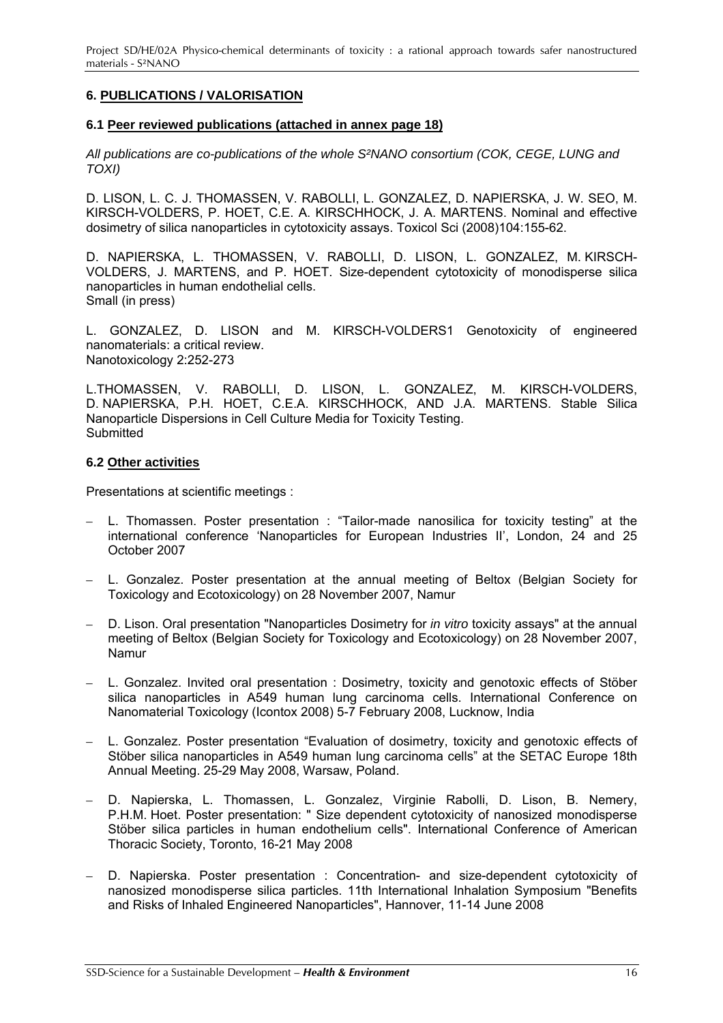<span id="page-16-0"></span>Project SD/HE/02A Physico-chemical determinants of toxicity : a rational approach towards safer nanostructured materials - S²NANO

## **6. PUBLICATIONS / VALORISATION**

#### **6.1 Peer reviewed publications (attached in annex page 18)**

*All publications are co-publications of the whole S²NANO consortium (COK, CEGE, LUNG and TOXI)* 

D. LISON, L. C. J. THOMASSEN, V. RABOLLI, L. GONZALEZ, D. NAPIERSKA, J. W. SEO, M. KIRSCH-VOLDERS, P. HOET, C.E. A. KIRSCHHOCK, J. A. MARTENS. Nominal and effective dosimetry of silica nanoparticles in cytotoxicity assays. Toxicol Sci (2008)104:155-62.

D. NAPIERSKA, L. THOMASSEN, V. RABOLLI, D. LISON, L. GONZALEZ, M. KIRSCH-VOLDERS, J. MARTENS, and P. HOET. Size-dependent cytotoxicity of monodisperse silica nanoparticles in human endothelial cells. Small (in press)

L. GONZALEZ, D. LISON and M. KIRSCH-VOLDERS1 Genotoxicity of engineered nanomaterials: a critical review. Nanotoxicology 2:252-273

L.THOMASSEN, V. RABOLLI, D. LISON, L. GONZALEZ, M. KIRSCH-VOLDERS, D. NAPIERSKA, P.H. HOET, C.E.A. KIRSCHHOCK, AND J.A. MARTENS. Stable Silica Nanoparticle Dispersions in Cell Culture Media for Toxicity Testing. **Submitted** 

#### **6.2 Other activities**

Presentations at scientific meetings :

- L. Thomassen. Poster presentation : "Tailor-made nanosilica for toxicity testing" at the international conference 'Nanoparticles for European Industries II', London, 24 and 25 October 2007
- L. Gonzalez. Poster presentation at the annual meeting of Beltox (Belgian Society for Toxicology and Ecotoxicology) on 28 November 2007, Namur
- D. Lison. Oral presentation "Nanoparticles Dosimetry for *in vitro* toxicity assays" at the annual meeting of Beltox (Belgian Society for Toxicology and Ecotoxicology) on 28 November 2007, Namur
- L. Gonzalez. Invited oral presentation : Dosimetry, toxicity and genotoxic effects of Stöber silica nanoparticles in A549 human lung carcinoma cells. International Conference on Nanomaterial Toxicology (Icontox 2008) 5-7 February 2008, Lucknow, India
- L. Gonzalez. Poster presentation "Evaluation of dosimetry, toxicity and genotoxic effects of Stöber silica nanoparticles in A549 human lung carcinoma cells" at the SETAC Europe 18th Annual Meeting. 25-29 May 2008, Warsaw, Poland.
- D. Napierska, L. Thomassen, L. Gonzalez, Virginie Rabolli, D. Lison, B. Nemery, P.H.M. Hoet. Poster presentation: " Size dependent cytotoxicity of nanosized monodisperse Stöber silica particles in human endothelium cells". International Conference of American Thoracic Society, Toronto, 16-21 May 2008
- D. Napierska. Poster presentation : Concentration- and size-dependent cytotoxicity of nanosized monodisperse silica particles. 11th International Inhalation Symposium "Benefits and Risks of Inhaled Engineered Nanoparticles", Hannover, 11-14 June 2008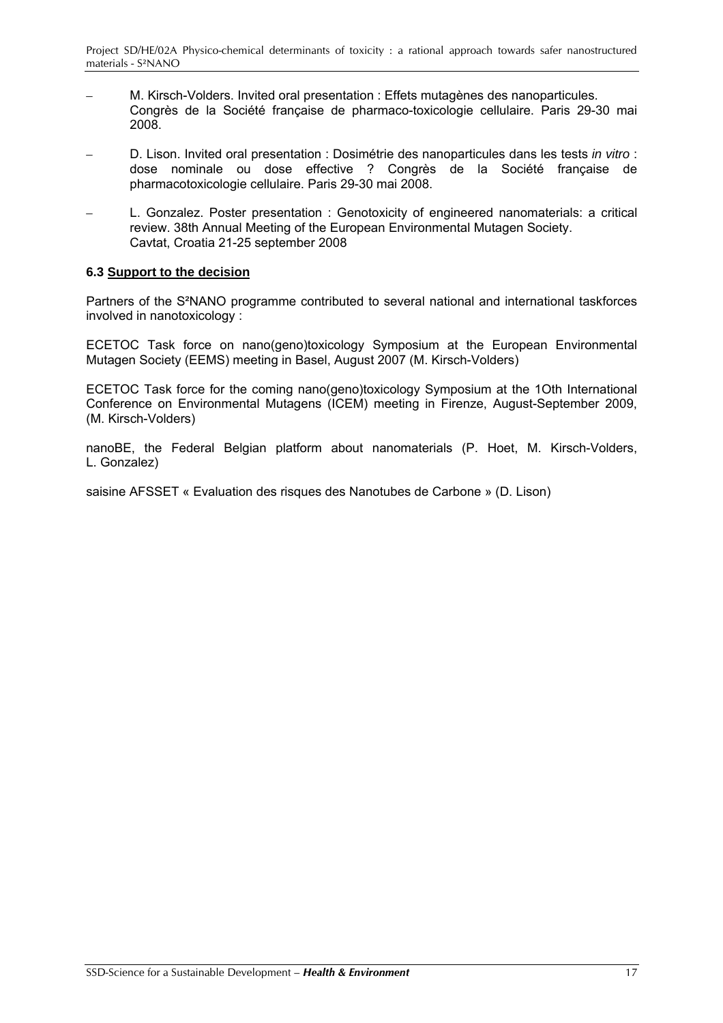- <span id="page-17-0"></span>– M. Kirsch-Volders. Invited oral presentation : Effets mutagènes des nanoparticules. Congrès de la Société française de pharmaco-toxicologie cellulaire. Paris 29-30 mai 2008.
- D. Lison. Invited oral presentation : Dosimétrie des nanoparticules dans les tests *in vitro* : dose nominale ou dose effective ? Congrès de la Société française de pharmacotoxicologie cellulaire. Paris 29-30 mai 2008.
- L. Gonzalez. Poster presentation : Genotoxicity of engineered nanomaterials: a critical review. 38th Annual Meeting of the European Environmental Mutagen Society. Cavtat, Croatia 21-25 september 2008

### **6.3 Support to the decision**

Partners of the S²NANO programme contributed to several national and international taskforces involved in nanotoxicology :

ECETOC Task force on nano(geno)toxicology Symposium at the European Environmental Mutagen Society (EEMS) meeting in Basel, August 2007 (M. Kirsch-Volders)

ECETOC Task force for the coming nano(geno)toxicology Symposium at the 1Oth International Conference on Environmental Mutagens (ICEM) meeting in Firenze, August-September 2009, (M. Kirsch-Volders)

nanoBE, the Federal Belgian platform about nanomaterials (P. Hoet, M. Kirsch-Volders, L. Gonzalez)

saisine AFSSET « Evaluation des risques des Nanotubes de Carbone » (D. Lison)